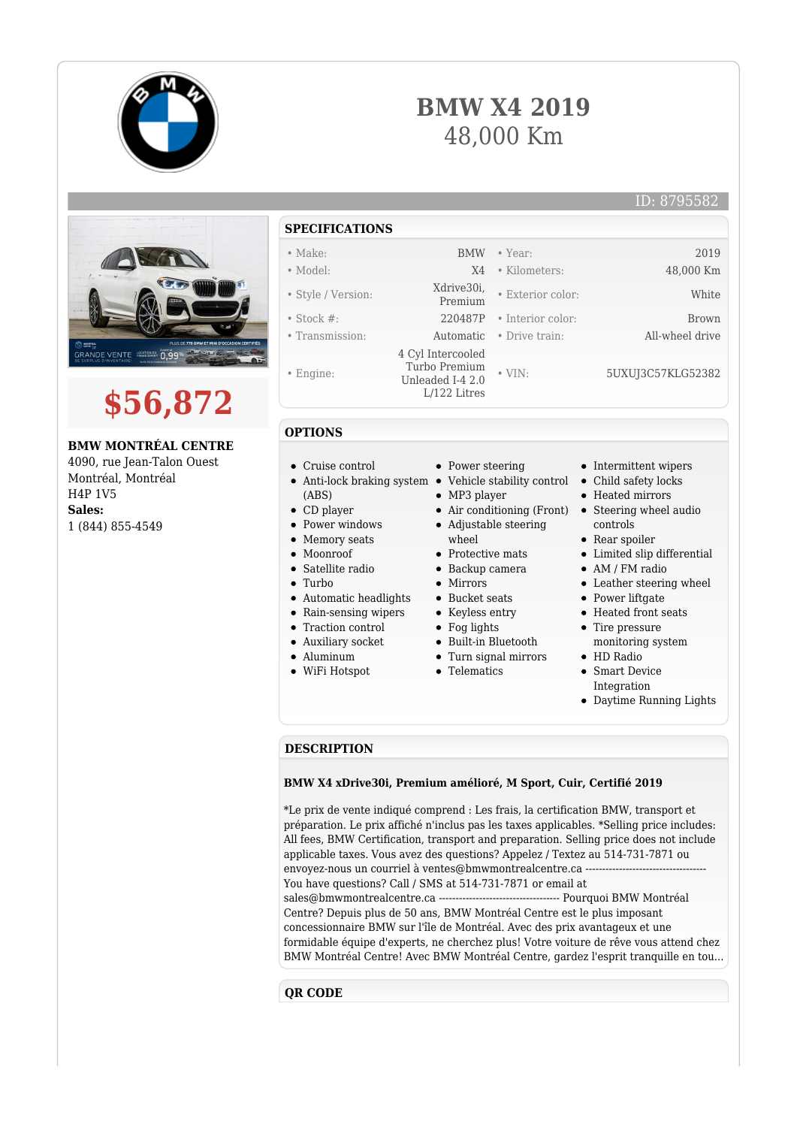

# **BMW X4 2019** 48,000 Km



# **\$56,872**

## **BMW MONTRÉAL CENTRE**

4090, rue Jean-Talon Ouest Montréal, Montréal H4P 1V5 **Sales:** 1 (844) 855-4549

# **SPECIFICATIONS**

- Make: BMW Year: 2019
- Model: X4 Kilometers: 48,000 Km
- Style / Version: Xdrive30i,
- Stock #: 220487P Interior color: Brown
- Transmission: Automatic Drive train: All-wheel drive
- Engine:
- 

- 
- Cruise control
- Anti-lock braking system Vehicle stability control
- 
- 
- 
- 
- 
- 
- 
- Rain-sensing wipers
- Traction control
- 
- 
- -
- Power steering
- 
- MP3 player
- 
- Adjustable steering whool
- Protective mats
- Backup camera
- Mirrors
- Bucket seats
- 
- Keyless entry
- Fog lights
- Built-in Bluetooth Turn signal mirrors
- 
- Telematics
- Intermittent wipers
- Child safety locks

• Exterior color: White

• VIN: 5UXUJ3C57KLG52382

- Heated mirrors
- Air conditioning (Front) Steering wheel audio controls
	- Rear spoiler
	- Limited slip differential
	- AM / FM radio
	- Leather steering wheel
	- Power liftgate
	- Heated front seats
	- Tire pressure monitoring system
	- HD Radio
	- Smart Device Integration
	- Daytime Running Lights

### **DESCRIPTION**

### **BMW X4 xDrive30i, Premium amélioré, M Sport, Cuir, Certifié 2019**

\*Le prix de vente indiqué comprend : Les frais, la certification BMW, transport et préparation. Le prix affiché n'inclus pas les taxes applicables. \*Selling price includes: All fees, BMW Certification, transport and preparation. Selling price does not include applicable taxes. Vous avez des questions? Appelez / Textez au 514-731-7871 ou envoyez-nous un courriel à ventes@bmwmontrealcentre.ca --You have questions? Call / SMS at 514-731-7871 or email at sales@bmwmontrealcentre.ca ------------------------------------ Pourquoi BMW Montréal Centre? Depuis plus de 50 ans, BMW Montréal Centre est le plus imposant concessionnaire BMW sur l'île de Montréal. Avec des prix avantageux et une formidable équipe d'experts, ne cherchez plus! Votre voiture de rêve vous attend chez BMW Montréal Centre! Avec BMW Montréal Centre, gardez l'esprit tranquille en tou...

# **QR CODE**

- **OPTIONS**
	-

 4 Cyl Intercooled Turbo Premium Unleaded I-4 2.0 L/122 Litres

- 
- 
- (ABS)
- CD player
- Power windows
- Memory seats
- Moonroof
- Satellite radio
- Turbo
- Automatic headlights
- 
- 
- Auxiliary socket
- 
- 
- 
- -
- 
- 
- 
- Aluminum
- WiFi Hotspot